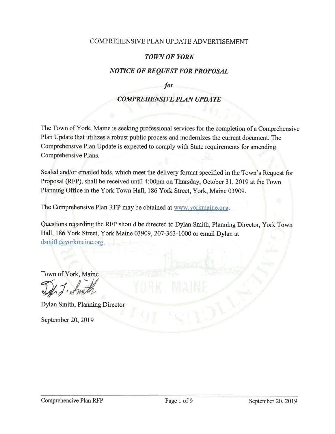#### COMPREHENSIVE PLAN UPDATE ADVERTISEMENT

#### **TOWN OF YORK**

### **NOTICE OF REQUEST FOR PROPOSAL**

for

### **COMPREHENSIVE PLAN UPDATE**

The Town of York, Maine is seeking professional services for the completion of a Comprehensive Plan Update that utilizes a robust public process and modernizes the current document. The Comprehensive Plan Update is expected to comply with State requirements for amending Comprehensive Plans.

Sealed and/or emailed bids, which meet the delivery format specified in the Town's Request for Proposal (RFP), shall be received until 4:00pm on Thursday, October 31, 2019 at the Town Planning Office in the York Town Hall, 186 York Street, York, Maine 03909.

The Comprehensive Plan RFP may be obtained at www.yorkmaine.org.

Questions regarding the RFP should be directed to Dylan Smith, Planning Director, York Town Hall, 186 York Street, York Maine 03909, 207-363-1000 or email Dylan at dsmith@yorkmaine.org.

Town of York, Maine

Dylan Smith, Planning Director

September 20, 2019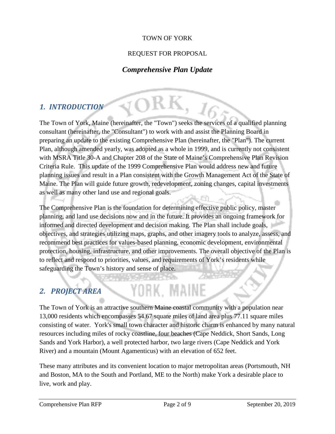#### TOWN OF YORK

#### REQUEST FOR PROPOSAL

### *Comprehensive Plan Update*

### *1. INTRODUCTION*

The Town of York, Maine (hereinafter, the "Town") seeks the services of a qualified planning consultant (hereinafter, the "Consultant") to work with and assist the Planning Board in preparing an update to the existing Comprehensive Plan (hereinafter, the "Plan"). The current Plan, although amended yearly, was adopted as a whole in 1999, and is currently not consistent with MSRA Title 30-A and Chapter 208 of the State of Maine's Comprehensive Plan Revision Criteria Rule. This update of the 1999 Comprehensive Plan would address new and future planning issues and result in a Plan consistent with the Growth Management Act of the State of Maine. The Plan will guide future growth, redevelopment, zoning changes, capital investments as well as many other land use and regional goals.

The Comprehensive Plan is the foundation for determining effective public policy, master planning, and land use decisions now and in the future. It provides an ongoing framework for informed and directed development and decision making. The Plan shall include goals, objectives, and strategies utilizing maps, graphs, and other imagery tools to analyze, assess, and recommend best practices for values-based planning, economic development, environmental protection, housing, infrastructure, and other improvements. The overall objective of the Plan is to reflect and respond to priorities, values, and requirements of York's residents while safeguarding the Town's history and sense of place.

# *2. PROJECT AREA*

The Town of York is an attractive southern Maine coastal community with a population near 13,000 residents which encompasses 54.67 square miles of land area plus 77.11 square miles consisting of water. York's small town character and historic charm is enhanced by many natural resources including miles of rocky coastline, four beaches (Cape Neddick, Short Sands, Long Sands and York Harbor), a well protected harbor, two large rivers (Cape Neddick and York River) and a mountain (Mount Agamenticus) with an elevation of 652 feet.

YORK, MAINE

These many attributes and its convenient location to major metropolitan areas (Portsmouth, NH and Boston, MA to the South and Portland, ME to the North) make York a desirable place to live, work and play.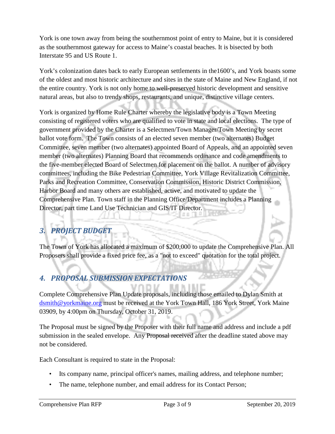York is one town away from being the southernmost point of entry to Maine, but it is considered as the southernmost gateway for access to Maine's coastal beaches. It is bisected by both Interstate 95 and US Route 1.

York's colonization dates back to early European settlements in the1600's, and York boasts some of the oldest and most historic architecture and sites in the state of Maine and New England, if not the entire country. York is not only home to well-preserved historic development and sensitive natural areas, but also to trendy shops, restaurants, and unique, distinctive village centers.

York is organized by Home Rule Charter whereby the legislative body is a Town Meeting consisting of registered voters who are qualified to vote in state and local elections. The type of government provided by the Charter is a Selectmen/Town Manager/Town Meeting by secret ballot vote form. The Town consists of an elected seven member (two alternates) Budget Committee, seven member (two alternates) appointed Board of Appeals, and an appointed seven member (two alternates) Planning Board that recommends ordinance and code amendments to the five-member elected Board of Selectmen for placement on the ballot. A number of advisory committees, including the Bike Pedestrian Committee, York Village Revitalization Committee, Parks and Recreation Committee, Conservation Commission, Historic District Commission, Harbor Board and many others are established, active, and motivated to update the Comprehensive Plan. Town staff in the Planning Office/Department includes a Planning Director, part time Land Use Technician and GIS/IT Director.

# *3. PROJECT BUDGET*

The Town of York has allocated a maximum of \$200,000 to update the Comprehensive Plan. All Proposers shall provide a fixed price fee, as a "not to exceed" quotation for the total project.

### *4. PROPOSAL SUBMISSION EXPECTATIONS*

Complete Comprehensive Plan Update proposals, including those emailed to Dylan Smith at [dsmith@yorkmaine.org](mailto:dsmith@yorkmaine.org) must be received at the York Town Hall, 186 York Street, York Maine 03909, by 4:00pm on Thursday, October 31, 2019.

The Proposal must be signed by the Proposer with their full name and address and include a pdf submission in the sealed envelope. Any Proposal received after the deadline stated above may not be considered.

Each Consultant is required to state in the Proposal:

- Its company name, principal officer's names, mailing address, and telephone number;
- The name, telephone number, and email address for its Contact Person;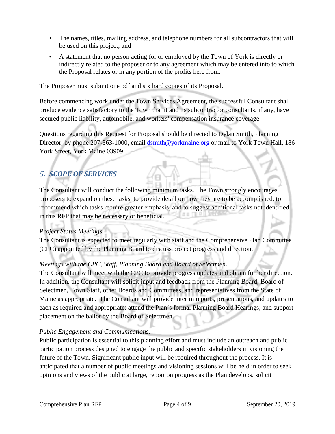- The names, titles, mailing address, and telephone numbers for all subcontractors that will be used on this project; and
- A statement that no person acting for or employed by the Town of York is directly or indirectly related to the proposer or to any agreement which may be entered into to which the Proposal relates or in any portion of the profits here from.

The Proposer must submit one pdf and six hard copies of its Proposal.

Before commencing work under the Town Services Agreement, the successful Consultant shall produce evidence satisfactory to the Town that it and its subcontractor consultants, if any, have secured public liability, automobile, and workers' compensation insurance coverage.

Questions regarding this Request for Proposal should be directed to Dylan Smith, Planning Director, by phone 207-363-1000, email [dsmith@yorkmaine.org](mailto:dsmith@yorkmaine.org) or mail to York Town Hall, 186 York Street, York Maine 03909.

# *5. SCOPE OF SERVICES*

The Consultant will conduct the following minimum tasks. The Town strongly encourages proposers to expand on these tasks, to provide detail on how they are to be accomplished, to recommend which tasks require greater emphasis, and to suggest additional tasks not identified as Ti in this RFP that may be necessary or beneficial.

#### *Project Status Meetings.*

The Consultant is expected to meet regularly with staff and the Comprehensive Plan Committee (CPC) appointed by the Planning Board to discuss project progress and direction.

### *Meetings with the CPC, Staff, Planning Board and Board of Selectmen*.

The Consultant will meet with the CPC to provide progress updates and obtain further direction. In addition, the Consultant will solicit input and feedback from the Planning Board, Board of Selectmen, Town Staff, other Boards and Committees, and representatives from the State of Maine as appropriate. The Consultant will provide interim reports, presentations, and updates to each as required and appropriate; attend the Plan's formal Planning Board Hearings; and support placement on the ballot by the Board of Selectmen.

### *Public Engagement and Communications.*

Public participation is essential to this planning effort and must include an outreach and public participation process designed to engage the public and specific stakeholders in visioning the future of the Town. Significant public input will be required throughout the process. It is anticipated that a number of public meetings and visioning sessions will be held in order to seek opinions and views of the public at large, report on progress as the Plan develops, solicit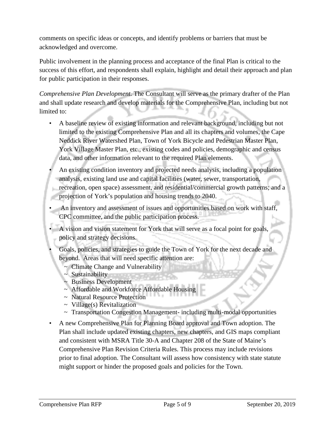comments on specific ideas or concepts, and identify problems or barriers that must be acknowledged and overcome.

Public involvement in the planning process and acceptance of the final Plan is critical to the success of this effort, and respondents shall explain, highlight and detail their approach and plan for public participation in their responses.

*Comprehensive Plan Development.* The Consultant will serve as the primary drafter of the Plan and shall update research and develop materials for the Comprehensive Plan, including but not limited to:

- A baseline review of existing information and relevant background, including but not limited to the existing Comprehensive Plan and all its chapters and volumes, the Cape Neddick River Watershed Plan, Town of York Bicycle and Pedestrian Master Plan, York Village Master Plan, etc., existing codes and policies, demographic and census data, and other information relevant to the required Plan elements.
- An existing condition inventory and projected needs analysis, including a population analysis, existing land use and capital facilities (water, sewer, transportation, recreation, open space) assessment, and residential/commercial growth patterns; and a projection of York's population and housing trends to 2040.
- An inventory and assessment of issues and opportunities based on work with staff, CPC committee, and the public participation process.
- A vision and vision statement for York that will serve as a focal point for goals, policy and strategy decisions.
- Goals, policies, and strategies to guide the Town of York for the next decade and beyond. Areas that will need specific attention are:
	- ~ Climate Change and Vulnerability
	- $\sim$  Sustainability
	- ~ Business Development
	- ~ Affordable and Workforce Affordable Housing
	- ~ Natural Resource Protection
	- $\sim$  Village(s) Revitalization
	- ~ Transportation Congestion Management- including multi-modal opportunities
- A new Comprehensive Plan for Planning Board approval and Town adoption. The Plan shall include updated existing chapters, new chapters, and GIS maps compliant and consistent with MSRA Title 30-A and Chapter 208 of the State of Maine's Comprehensive Plan Revision Criteria Rules. This process may include revisions prior to final adoption. The Consultant will assess how consistency with state statute might support or hinder the proposed goals and policies for the Town.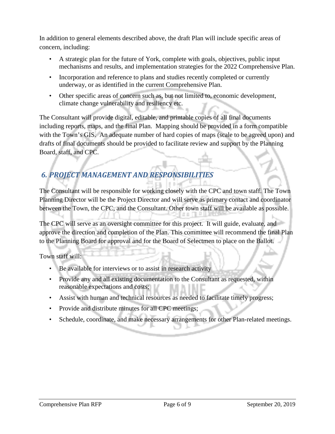In addition to general elements described above, the draft Plan will include specific areas of concern, including:

- A strategic plan for the future of York, complete with goals, objectives, public input mechanisms and results, and implementation strategies for the 2022 Comprehensive Plan.
- Incorporation and reference to plans and studies recently completed or currently underway, or as identified in the current Comprehensive Plan.
- Other specific areas of concern such as, but not limited to, economic development, climate change vulnerability and resiliency etc.

The Consultant will provide digital, editable, and printable copies of all final documents including reports, maps, and the final Plan. Mapping should be provided in a form compatible with the Town's GIS. An adequate number of hard copies of maps (scale to be agreed upon) and drafts of final documents should be provided to facilitate review and support by the Planning Board, staff, and CPC.

# *6. PROJECT MANAGEMENT AND RESPONSIBILITIES*

The Consultant will be responsible for working closely with the CPC and town staff. The Town Planning Director will be the Project Director and will serve as primary contact and coordinator between the Town, the CPC, and the Consultant. Other town staff will be available as possible.

The CPC will serve as an oversight committee for this project. It will guide, evaluate, and approve the direction and completion of the Plan. This committee will recommend the final Plan to the Planning Board for approval and for the Board of Selectmen to place on the Ballot.

Town staff will:

- Be available for interviews or to assist in research activity
- Provide any and all existing documentation to the Consultant as requested, within reasonable expectations and costs;
- Assist with human and technical resources as needed to facilitate timely progress;
- Provide and distribute minutes for all CPC meetings;
- Schedule, coordinate, and make necessary arrangements for other Plan-related meetings.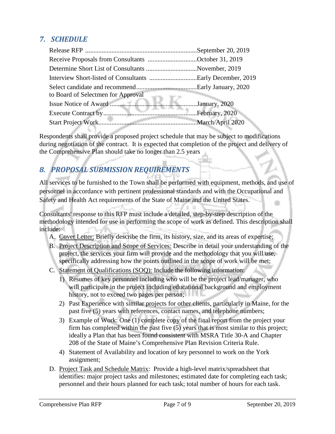### *7. SCHEDULE*

| Receive Proposals from Consultants October 31, 2019 |  |
|-----------------------------------------------------|--|
| Determine Short List of Consultants November, 2019  |  |
|                                                     |  |
| to Board of Selectmen for Approval                  |  |
|                                                     |  |
|                                                     |  |
|                                                     |  |

Respondents shall provide a proposed project schedule that may be subject to modifications during negotiation of the contract. It is expected that completion of the project and delivery of the Comprehensive Plan should take no longer than 2.5 years

### *8. PROPOSAL SUBMISSION REQUIREMENTS*

All services to be furnished to the Town shall be performed with equipment, methods, and use of personnel in accordance with pertinent professional standards and with the Occupational and Safety and Health Act requirements of the State of Maine and the United States.

Consultants' response to this RFP must include a detailed, step-by-step description of the methodology intended for use in performing the scope of work as defined. This description shall include:

- A. Cover Letter: Briefly describe the firm, its history, size, and its areas of expertise;
- B. Project Description and Scope of Services: Describe in detail your understanding of the project, the services your firm will provide and the methodology that you will use, specifically addressing how the points outlined in the scope of work will be met;
- C. Statement of Qualifications (SOQ): Include the following information:
	- 1) Resumes of key personnel including who will be the project lead/manager, who will participate in the project including educational background and employment history, not to exceed two pages per person;
	- 2) Past Experience with similar projects for other clients, particularly in Maine, for the past five (5) years with references, contact names, and telephone numbers;
	- 3) Example of Work: One (1) complete copy of the final report from the project your firm has completed within the past five (5) years that is most similar to this project; ideally a Plan that has been found consistent with MSRA Title 30-A and Chapter 208 of the State of Maine's Comprehensive Plan Revision Criteria Rule.
	- 4) Statement of Availability and location of key personnel to work on the York assignment;
- D. Project Task and Schedule Matrix: Provide a high-level matrix/spreadsheet that identifies: major project tasks and milestones; estimated date for completing each task; personnel and their hours planned for each task; total number of hours for each task.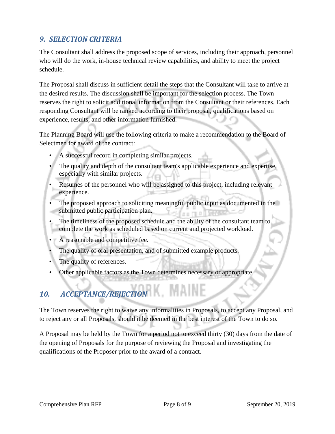### *9. SELECTION CRITERIA*

The Consultant shall address the proposed scope of services, including their approach, personnel who will do the work, in-house technical review capabilities, and ability to meet the project schedule.

The Proposal shall discuss in sufficient detail the steps that the Consultant will take to arrive at the desired results. The discussion shall be important for the selection process. The Town reserves the right to solicit additional information from the Consultant or their references. Each responding Consultant will be ranked according to their proposal, qualifications based on experience, results, and other information furnished.

The Planning Board will use the following criteria to make a recommendation to the Board of Selectmen for award of the contract:

- A successful record in completing similar projects.
- The quality and depth of the consultant team's applicable experience and expertise, especially with similar projects.
- Resumes of the personnel who will be assigned to this project, including relevant experience.
- The proposed approach to soliciting meaningful public input as documented in the submitted public participation plan.
- The timeliness of the proposed schedule and the ability of the consultant team to complete the work as scheduled based on current and projected workload.
- A reasonable and competitive fee.
- The quality of oral presentation, and of submitted example products.
- The quality of references.
- Other applicable factors as the Town determines necessary or appropriate.

# *10. ACCEPTANCE/REJECTION*

The Town reserves the right to waive any informalities in Proposals, to accept any Proposal, and to reject any or all Proposals, should it be deemed in the best interest of the Town to do so.

A Proposal may be held by the Town for a period not to exceed thirty (30) days from the date of the opening of Proposals for the purpose of reviewing the Proposal and investigating the qualifications of the Proposer prior to the award of a contract.